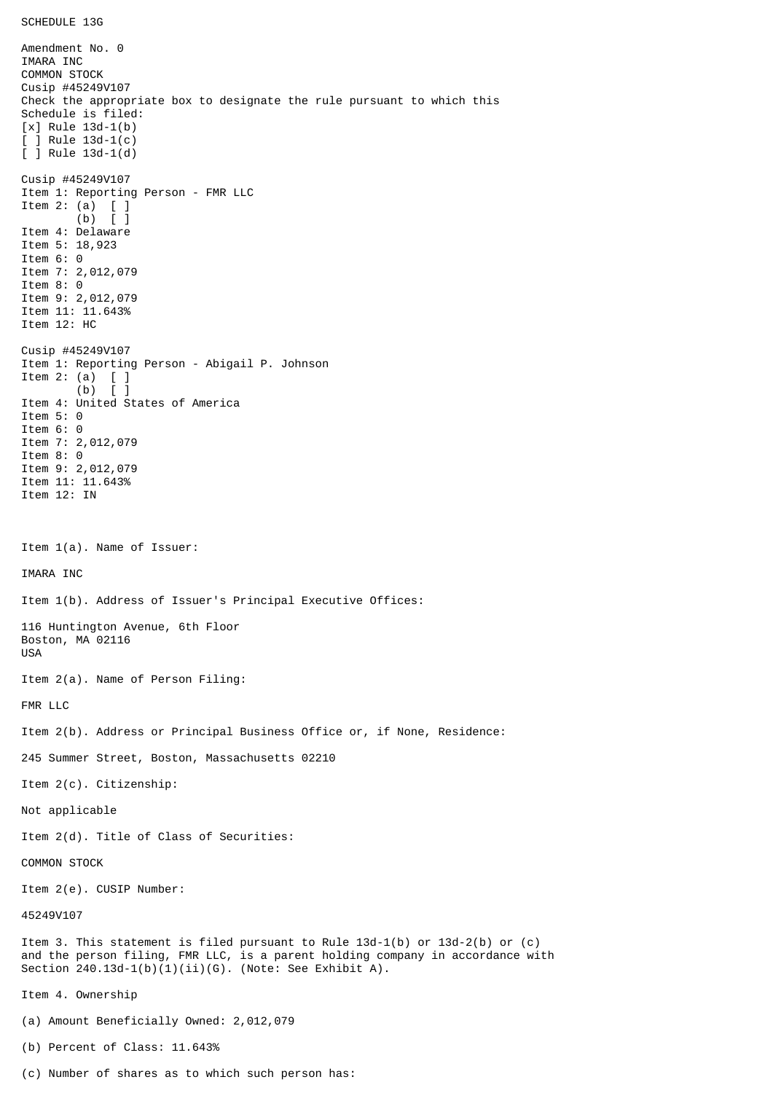Amendment No. 0 IMARA INC COMMON STOCK Cusip #45249V107 Check the appropriate box to designate the rule pursuant to which this Schedule is filed: [x] Rule 13d-1(b) [ ] Rule 13d-1(c) [ ] Rule 13d-1(d) Cusip #45249V107 Item 1: Reporting Person - FMR LLC Item 2: (a) [ ] (b) [ ] Item 4: Delaware Item 5: 18,923 Item 6: 0 Item 7: 2,012,079 Item 8: 0 Item 9: 2,012,079 Item 11: 11.643% Item 12: HC Cusip #45249V107 Item 1: Reporting Person - Abigail P. Johnson Item 2: (a)  $[$  ]<br>(b)  $[$  ]  $(b)$ Item 4: United States of America Item 5: 0 Item 6: 0 Item 7: 2,012,079 Item 8: 0 Item 9: 2,012,079 Item 11: 11.643% Item 12: IN Item 1(a). Name of Issuer: IMARA INC Item 1(b). Address of Issuer's Principal Executive Offices: 116 Huntington Avenue, 6th Floor Boston, MA 02116 USA Item 2(a). Name of Person Filing: FMR LLC Item 2(b). Address or Principal Business Office or, if None, Residence: 245 Summer Street, Boston, Massachusetts 02210 Item 2(c). Citizenship: Not applicable Item 2(d). Title of Class of Securities: COMMON STOCK Item 2(e). CUSIP Number: 45249V107 Item 3. This statement is filed pursuant to Rule 13d-1(b) or 13d-2(b) or (c) and the person filing, FMR LLC, is a parent holding company in accordance with Section  $240.13d-1(b)(1)(ii)(G)$ . (Note: See Exhibit A). Item 4. Ownership (a) Amount Beneficially Owned: 2,012,079 (b) Percent of Class: 11.643%

(c) Number of shares as to which such person has: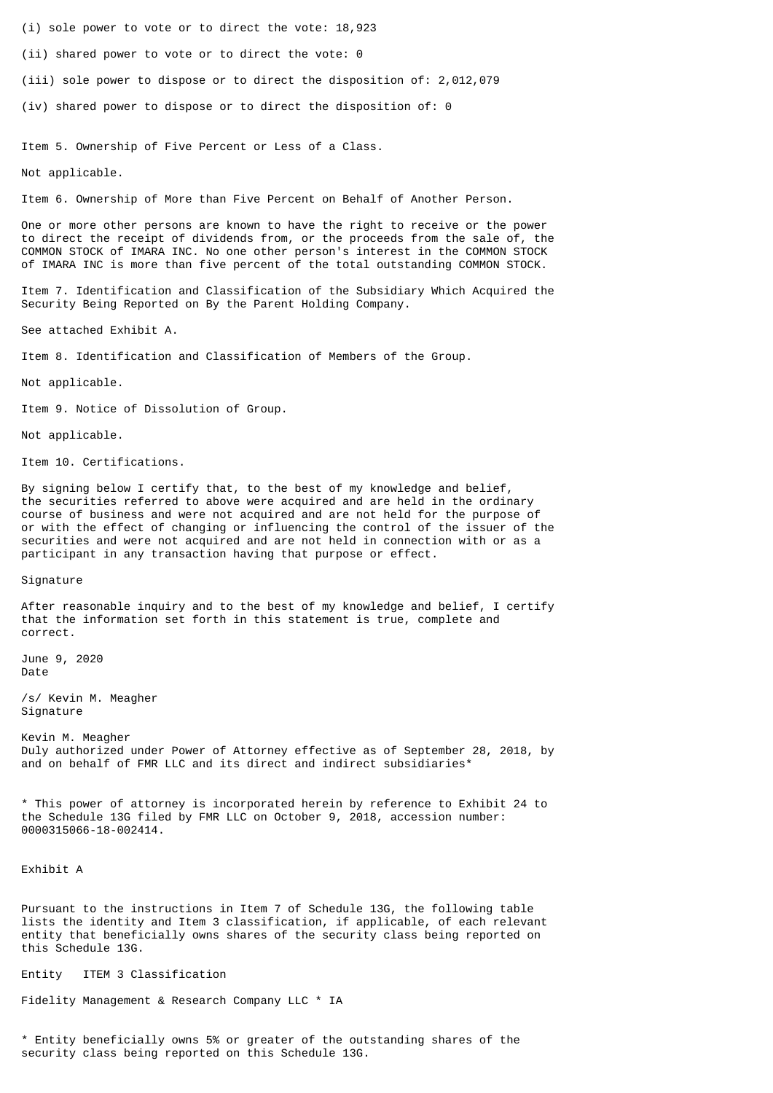- (i) sole power to vote or to direct the vote: 18,923
- (ii) shared power to vote or to direct the vote: 0
- (iii) sole power to dispose or to direct the disposition of: 2,012,079
- (iv) shared power to dispose or to direct the disposition of: 0

Item 5. Ownership of Five Percent or Less of a Class.

Not applicable.

Item 6. Ownership of More than Five Percent on Behalf of Another Person.

One or more other persons are known to have the right to receive or the power to direct the receipt of dividends from, or the proceeds from the sale of, the COMMON STOCK of IMARA INC. No one other person's interest in the COMMON STOCK of IMARA INC is more than five percent of the total outstanding COMMON STOCK.

Item 7. Identification and Classification of the Subsidiary Which Acquired the Security Being Reported on By the Parent Holding Company.

See attached Exhibit A.

Item 8. Identification and Classification of Members of the Group.

Not applicable.

Item 9. Notice of Dissolution of Group.

Not applicable.

Item 10. Certifications.

By signing below I certify that, to the best of my knowledge and belief, the securities referred to above were acquired and are held in the ordinary course of business and were not acquired and are not held for the purpose of or with the effect of changing or influencing the control of the issuer of the securities and were not acquired and are not held in connection with or as a participant in any transaction having that purpose or effect.

Signature

After reasonable inquiry and to the best of my knowledge and belief, I certify that the information set forth in this statement is true, complete and correct.

June 9, 2020 Date

/s/ Kevin M. Meagher Signature

Kevin M. Meagher Duly authorized under Power of Attorney effective as of September 28, 2018, by and on behalf of FMR LLC and its direct and indirect subsidiaries<sup>\*</sup>

\* This power of attorney is incorporated herein by reference to Exhibit 24 to the Schedule 13G filed by FMR LLC on October 9, 2018, accession number: 0000315066-18-002414.

Exhibit A

Pursuant to the instructions in Item 7 of Schedule 13G, the following table lists the identity and Item 3 classification, if applicable, of each relevant entity that beneficially owns shares of the security class being reported on this Schedule 13G.

Entity ITEM 3 Classification

Fidelity Management & Research Company LLC \* IA

\* Entity beneficially owns 5% or greater of the outstanding shares of the security class being reported on this Schedule 13G.